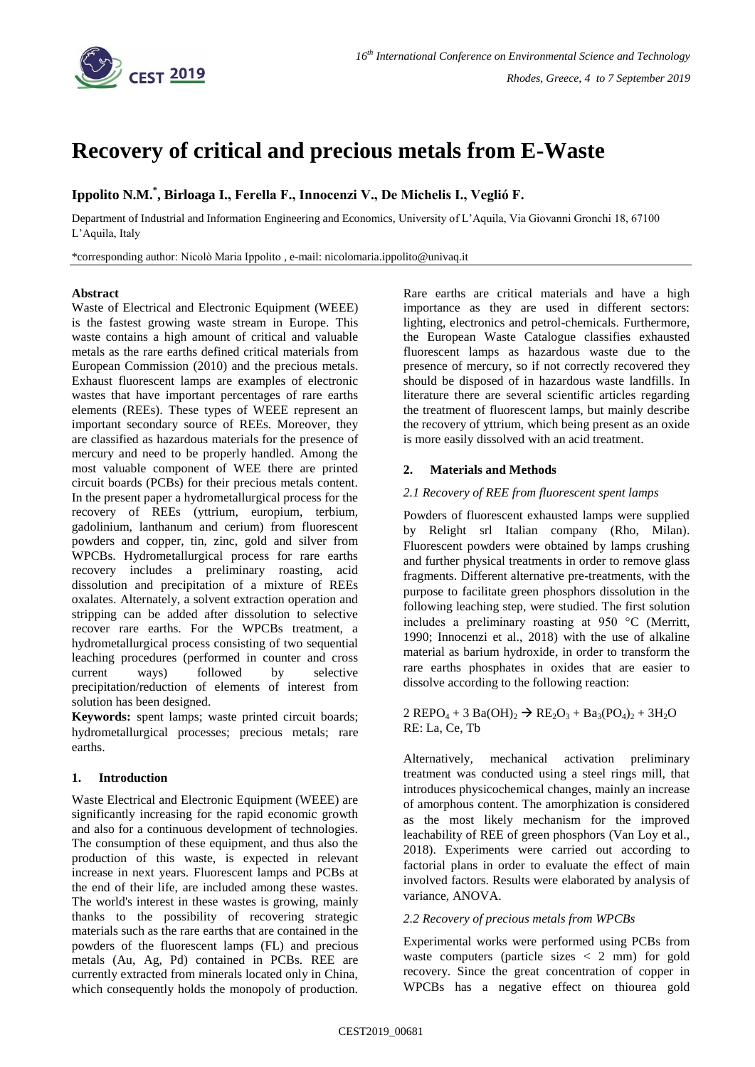

# **Recovery of critical and precious metals from E-Waste**

# **Ippolito N.M.\* , Birloaga I., Ferella F., Innocenzi V., De Michelis I., Veglió F.**

Department of Industrial and Information Engineering and Economics, University of L'Aquila, Via Giovanni Gronchi 18, 67100 L'Aquila, Italy

\*corresponding author: Nicolò Maria Ippolito , e-mail: nicolomaria.ippolito@univaq.it

#### **Abstract**

Waste of Electrical and Electronic Equipment (WEEE) is the fastest growing waste stream in Europe. This waste contains a high amount of critical and valuable metals as the rare earths defined critical materials from European Commission (2010) and the precious metals. Exhaust fluorescent lamps are examples of electronic wastes that have important percentages of rare earths elements (REEs). These types of WEEE represent an important secondary source of REEs. Moreover, they are classified as hazardous materials for the presence of mercury and need to be properly handled. Among the most valuable component of WEE there are printed circuit boards (PCBs) for their precious metals content. In the present paper a hydrometallurgical process for the recovery of REEs (yttrium, europium, terbium, gadolinium, lanthanum and cerium) from fluorescent powders and copper, tin, zinc, gold and silver from WPCBs. Hydrometallurgical process for rare earths recovery includes a preliminary roasting, acid dissolution and precipitation of a mixture of REEs oxalates. Alternately, a solvent extraction operation and stripping can be added after dissolution to selective recover rare earths. For the WPCBs treatment, a hydrometallurgical process consisting of two sequential leaching procedures (performed in counter and cross current ways) followed by selective precipitation/reduction of elements of interest from solution has been designed.

**Keywords:** spent lamps; waste printed circuit boards; hydrometallurgical processes; precious metals; rare earths.

#### **1. Introduction**

Waste Electrical and Electronic Equipment (WEEE) are significantly increasing for the rapid economic growth and also for a continuous development of technologies. The consumption of these equipment, and thus also the production of this waste, is expected in relevant increase in next years. Fluorescent lamps and PCBs at the end of their life, are included among these wastes. The world's interest in these wastes is growing, mainly thanks to the possibility of recovering strategic materials such as the rare earths that are contained in the powders of the fluorescent lamps (FL) and precious metals (Au, Ag, Pd) contained in PCBs. REE are currently extracted from minerals located only in China, which consequently holds the monopoly of production.

Rare earths are critical materials and have a high importance as they are used in different sectors: lighting, electronics and petrol-chemicals. Furthermore, the European Waste Catalogue classifies exhausted fluorescent lamps as hazardous waste due to the presence of mercury, so if not correctly recovered they should be disposed of in hazardous waste landfills. In literature there are several scientific articles regarding the treatment of fluorescent lamps, but mainly describe the recovery of yttrium, which being present as an oxide is more easily dissolved with an acid treatment.

### **2. Materials and Methods**

#### *2.1 Recovery of REE from fluorescent spent lamps*

Powders of fluorescent exhausted lamps were supplied by Relight srl Italian company (Rho, Milan). Fluorescent powders were obtained by lamps crushing and further physical treatments in order to remove glass fragments. Different alternative pre-treatments, with the purpose to facilitate green phosphors dissolution in the following leaching step, were studied. The first solution includes a preliminary roasting at 950 °C (Merritt, 1990; Innocenzi et al., 2018) with the use of alkaline material as barium hydroxide, in order to transform the rare earths phosphates in oxides that are easier to dissolve according to the following reaction:

2 REPO<sub>4</sub> + 3 Ba(OH)<sub>2</sub>  $\rightarrow$  RE<sub>2</sub>O<sub>3</sub> + Ba<sub>3</sub>(PO<sub>4</sub>)<sub>2</sub> + 3H<sub>2</sub>O RE: La, Ce, Tb

Alternatively, mechanical activation preliminary treatment was conducted using a steel rings mill, that introduces physicochemical changes, mainly an increase of amorphous content. The amorphization is considered as the most likely mechanism for the improved leachability of REE of green phosphors (Van Loy et al., 2018). Experiments were carried out according to factorial plans in order to evaluate the effect of main involved factors. Results were elaborated by analysis of variance, ANOVA.

#### *2.2 Recovery of precious metals from WPCBs*

Experimental works were performed using PCBs from waste computers (particle sizes  $\langle 2 \text{ mm} \rangle$  for gold recovery. Since the great concentration of copper in WPCBs has a negative effect on thiourea gold